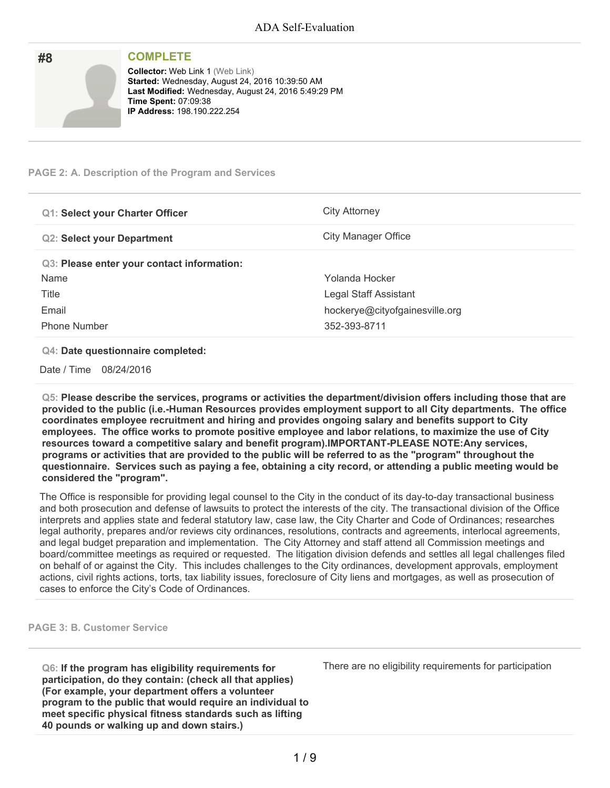| #8 | <b>COMPLETE</b>                                                                                                                                                                                                         |
|----|-------------------------------------------------------------------------------------------------------------------------------------------------------------------------------------------------------------------------|
|    | <b>Collector: Web Link 1 (Web Link)</b><br>Started: Wednesday, August 24, 2016 10:39:50 AM<br>Last Modified: Wednesday, August 24, 2016 5:49:29 PM<br><b>Time Spent: 07:09:38</b><br><b>IP Address: 198.190.222.254</b> |

#### **PAGE 2: A. Description of the Program and Services**

| <b>Q1: Select your Charter Officer</b>     | City Attorney                  |
|--------------------------------------------|--------------------------------|
| <b>Q2: Select your Department</b>          | City Manager Office            |
| Q3: Please enter your contact information: |                                |
| Name                                       | Yolanda Hocker                 |
| Title                                      | Legal Staff Assistant          |
| Email                                      | hockerye@cityofgainesville.org |
| <b>Phone Number</b>                        | 352-393-8711                   |

#### **Q4: Date questionnaire completed:**

Date / Time 08/24/2016

**Q5: Please describe the services, programs or activities the department/division offers including those that are provided to the public (i.e.-Human Resources provides employment support to all City departments. The office coordinates employee recruitment and hiring and provides ongoing salary and benefits support to City employees. The office works to promote positive employee and labor relations, to maximize the use of City resources toward a competitive salary and benefit program).IMPORTANT-PLEASE NOTE:Any services,** programs or activities that are provided to the public will be referred to as the "program" throughout the questionnaire. Services such as paying a fee, obtaining a city record, or attending a public meeting would be **considered the "program".**

The Office is responsible for providing legal counsel to the City in the conduct of its day-to-day transactional business and both prosecution and defense of lawsuits to protect the interests of the city. The transactional division of the Office interprets and applies state and federal statutory law, case law, the City Charter and Code of Ordinances; researches legal authority, prepares and/or reviews city ordinances, resolutions, contracts and agreements, interlocal agreements, and legal budget preparation and implementation. The City Attorney and staff attend all Commission meetings and board/committee meetings as required or requested. The litigation division defends and settles all legal challenges filed on behalf of or against the City. This includes challenges to the City ordinances, development approvals, employment actions, civil rights actions, torts, tax liability issues, foreclosure of City liens and mortgages, as well as prosecution of cases to enforce the City's Code of Ordinances.

**PAGE 3: B. Customer Service**

**Q6: If the program has eligibility requirements for participation, do they contain: (check all that applies) (For example, your department offers a volunteer program to the public that would require an individual to meet specific physical fitness standards such as lifting 40 pounds or walking up and down stairs.)**

There are no eligibility requirements for participation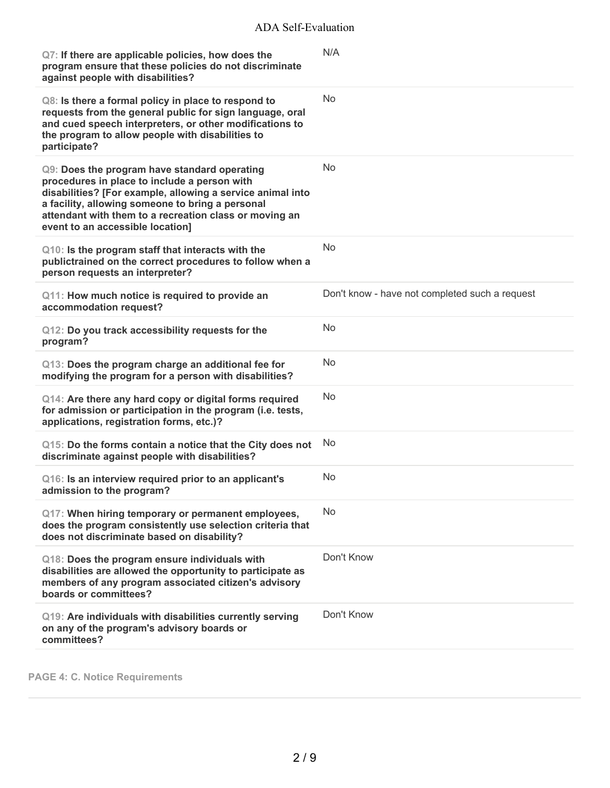| Q7: If there are applicable policies, how does the<br>program ensure that these policies do not discriminate<br>against people with disabilities?                                                                                                                                                            | N/A                                            |
|--------------------------------------------------------------------------------------------------------------------------------------------------------------------------------------------------------------------------------------------------------------------------------------------------------------|------------------------------------------------|
| Q8: Is there a formal policy in place to respond to<br>requests from the general public for sign language, oral<br>and cued speech interpreters, or other modifications to<br>the program to allow people with disabilities to<br>participate?                                                               | No                                             |
| Q9: Does the program have standard operating<br>procedures in place to include a person with<br>disabilities? [For example, allowing a service animal into<br>a facility, allowing someone to bring a personal<br>attendant with them to a recreation class or moving an<br>event to an accessible location] | No                                             |
| Q10: Is the program staff that interacts with the<br>publictrained on the correct procedures to follow when a<br>person requests an interpreter?                                                                                                                                                             | No                                             |
| Q11: How much notice is required to provide an<br>accommodation request?                                                                                                                                                                                                                                     | Don't know - have not completed such a request |
| Q12: Do you track accessibility requests for the<br>program?                                                                                                                                                                                                                                                 | No                                             |
| Q13: Does the program charge an additional fee for<br>modifying the program for a person with disabilities?                                                                                                                                                                                                  | No                                             |
| Q14: Are there any hard copy or digital forms required<br>for admission or participation in the program (i.e. tests,<br>applications, registration forms, etc.)?                                                                                                                                             | No                                             |
| Q15: Do the forms contain a notice that the City does not<br>discriminate against people with disabilities?                                                                                                                                                                                                  | No                                             |
| Q16: Is an interview required prior to an applicant's<br>admission to the program?                                                                                                                                                                                                                           | No                                             |
| Q17: When hiring temporary or permanent employees,<br>does the program consistently use selection criteria that<br>does not discriminate based on disability?                                                                                                                                                | No                                             |
| Q18: Does the program ensure individuals with<br>disabilities are allowed the opportunity to participate as<br>members of any program associated citizen's advisory<br>boards or committees?                                                                                                                 | Don't Know                                     |
| Q19: Are individuals with disabilities currently serving<br>on any of the program's advisory boards or<br>committees?                                                                                                                                                                                        | Don't Know                                     |

**PAGE 4: C. Notice Requirements**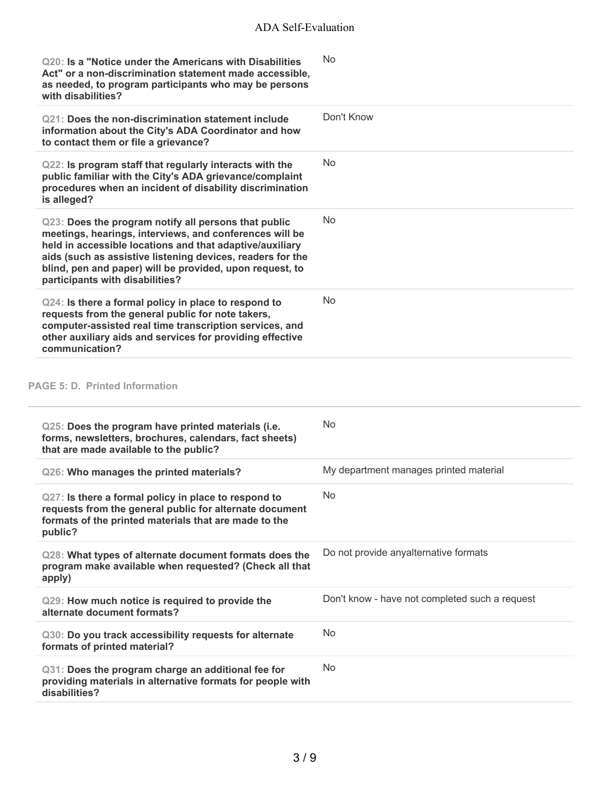| Act" or a non-discrimination statement made accessible,<br>as needed, to program participants who may be persons<br>with disabilities?                                                                                                                                                                                                   | No                                             |
|------------------------------------------------------------------------------------------------------------------------------------------------------------------------------------------------------------------------------------------------------------------------------------------------------------------------------------------|------------------------------------------------|
| Q21: Does the non-discrimination statement include<br>information about the City's ADA Coordinator and how<br>to contact them or file a grievance?                                                                                                                                                                                       | Don't Know                                     |
| Q22: Is program staff that regularly interacts with the<br>public familiar with the City's ADA grievance/complaint<br>procedures when an incident of disability discrimination<br>is alleged?                                                                                                                                            | <b>No</b>                                      |
| Q23: Does the program notify all persons that public<br>meetings, hearings, interviews, and conferences will be<br>held in accessible locations and that adaptive/auxiliary<br>aids (such as assistive listening devices, readers for the<br>blind, pen and paper) will be provided, upon request, to<br>participants with disabilities? | <b>No</b>                                      |
| Q24: Is there a formal policy in place to respond to<br>requests from the general public for note takers,<br>computer-assisted real time transcription services, and<br>other auxiliary aids and services for providing effective<br>communication?                                                                                      | No                                             |
| <b>PAGE 5: D. Printed Information</b>                                                                                                                                                                                                                                                                                                    |                                                |
|                                                                                                                                                                                                                                                                                                                                          |                                                |
| Q25: Does the program have printed materials (i.e.<br>forms, newsletters, brochures, calendars, fact sheets)<br>that are made available to the public?                                                                                                                                                                                   | No                                             |
| Q26: Who manages the printed materials?                                                                                                                                                                                                                                                                                                  | My department manages printed material         |
| Q27: Is there a formal policy in place to respond to<br>requests from the general public for alternate document<br>formats of the printed materials that are made to the<br>public?                                                                                                                                                      | No.                                            |
| Q28: What types of alternate document formats does the<br>program make available when requested? (Check all that<br>apply)                                                                                                                                                                                                               | Do not provide anyalternative formats          |
| Q29: How much notice is required to provide the<br>alternate document formats?                                                                                                                                                                                                                                                           | Don't know - have not completed such a request |
| Q30: Do you track accessibility requests for alternate<br>formats of printed material?                                                                                                                                                                                                                                                   | No                                             |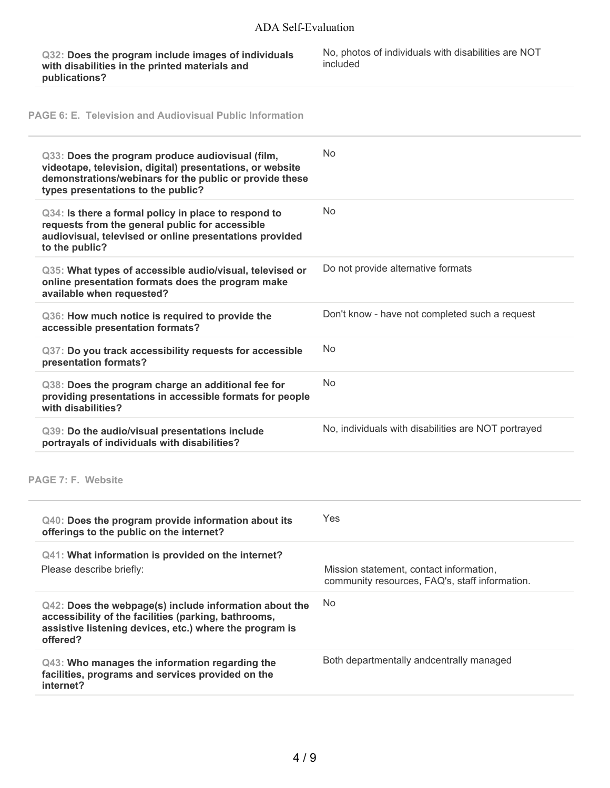**Q32: Does the program include images of individuals with disabilities in the printed materials and publications?**

No, photos of individuals with disabilities are NOT included

**PAGE 6: E. Television and Audiovisual Public Information**

| Q33: Does the program produce audiovisual (film,<br>videotape, television, digital) presentations, or website<br>demonstrations/webinars for the public or provide these<br>types presentations to the public? | <b>No</b>                                                                                 |
|----------------------------------------------------------------------------------------------------------------------------------------------------------------------------------------------------------------|-------------------------------------------------------------------------------------------|
| Q34: Is there a formal policy in place to respond to<br>requests from the general public for accessible<br>audiovisual, televised or online presentations provided<br>to the public?                           | No                                                                                        |
| Q35: What types of accessible audio/visual, televised or<br>online presentation formats does the program make<br>available when requested?                                                                     | Do not provide alternative formats                                                        |
| Q36: How much notice is required to provide the<br>accessible presentation formats?                                                                                                                            | Don't know - have not completed such a request                                            |
| Q37: Do you track accessibility requests for accessible<br>presentation formats?                                                                                                                               | No                                                                                        |
| Q38: Does the program charge an additional fee for<br>providing presentations in accessible formats for people<br>with disabilities?                                                                           | No                                                                                        |
|                                                                                                                                                                                                                |                                                                                           |
| Q39: Do the audio/visual presentations include<br>portrayals of individuals with disabilities?                                                                                                                 | No, individuals with disabilities are NOT portrayed                                       |
|                                                                                                                                                                                                                |                                                                                           |
| <b>PAGE 7: F. Website</b><br>Q40: Does the program provide information about its<br>offerings to the public on the internet?                                                                                   | Yes                                                                                       |
| Q41: What information is provided on the internet?<br>Please describe briefly:                                                                                                                                 | Mission statement, contact information,<br>community resources, FAQ's, staff information. |
| Q42: Does the webpage(s) include information about the<br>accessibility of the facilities (parking, bathrooms,<br>assistive listening devices, etc.) where the program is<br>offered?                          | No                                                                                        |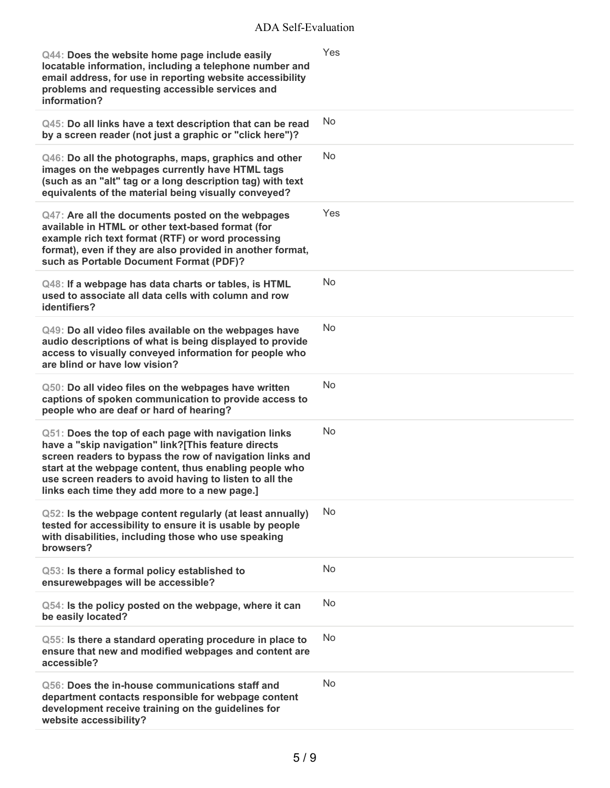## ADA Self-Evaluation

| Q44: Does the website home page include easily<br>locatable information, including a telephone number and<br>email address, for use in reporting website accessibility<br>problems and requesting accessible services and<br>information?                                                                                                     | Yes       |
|-----------------------------------------------------------------------------------------------------------------------------------------------------------------------------------------------------------------------------------------------------------------------------------------------------------------------------------------------|-----------|
| Q45: Do all links have a text description that can be read<br>by a screen reader (not just a graphic or "click here")?                                                                                                                                                                                                                        | No        |
| Q46: Do all the photographs, maps, graphics and other<br>images on the webpages currently have HTML tags<br>(such as an "alt" tag or a long description tag) with text<br>equivalents of the material being visually conveyed?                                                                                                                | <b>No</b> |
| Q47: Are all the documents posted on the webpages<br>available in HTML or other text-based format (for<br>example rich text format (RTF) or word processing<br>format), even if they are also provided in another format,<br>such as Portable Document Format (PDF)?                                                                          | Yes       |
| Q48: If a webpage has data charts or tables, is HTML<br>used to associate all data cells with column and row<br>identifiers?                                                                                                                                                                                                                  | <b>No</b> |
| Q49: Do all video files available on the webpages have<br>audio descriptions of what is being displayed to provide<br>access to visually conveyed information for people who<br>are blind or have low vision?                                                                                                                                 | No        |
| Q50: Do all video files on the webpages have written<br>captions of spoken communication to provide access to<br>people who are deaf or hard of hearing?                                                                                                                                                                                      | <b>No</b> |
| Q51: Does the top of each page with navigation links<br>have a "skip navigation" link?[This feature directs<br>screen readers to bypass the row of navigation links and<br>start at the webpage content, thus enabling people who<br>use screen readers to avoid having to listen to all the<br>links each time they add more to a new page.] | <b>No</b> |
| Q52: Is the webpage content regularly (at least annually)<br>tested for accessibility to ensure it is usable by people<br>with disabilities, including those who use speaking<br>browsers?                                                                                                                                                    | No        |
| Q53: Is there a formal policy established to<br>ensurewebpages will be accessible?                                                                                                                                                                                                                                                            | No        |
| Q54: Is the policy posted on the webpage, where it can<br>be easily located?                                                                                                                                                                                                                                                                  | <b>No</b> |
| Q55: Is there a standard operating procedure in place to<br>ensure that new and modified webpages and content are<br>accessible?                                                                                                                                                                                                              | No        |
| Q56: Does the in-house communications staff and<br>department contacts responsible for webpage content<br>development receive training on the guidelines for<br>website accessibility?                                                                                                                                                        | <b>No</b> |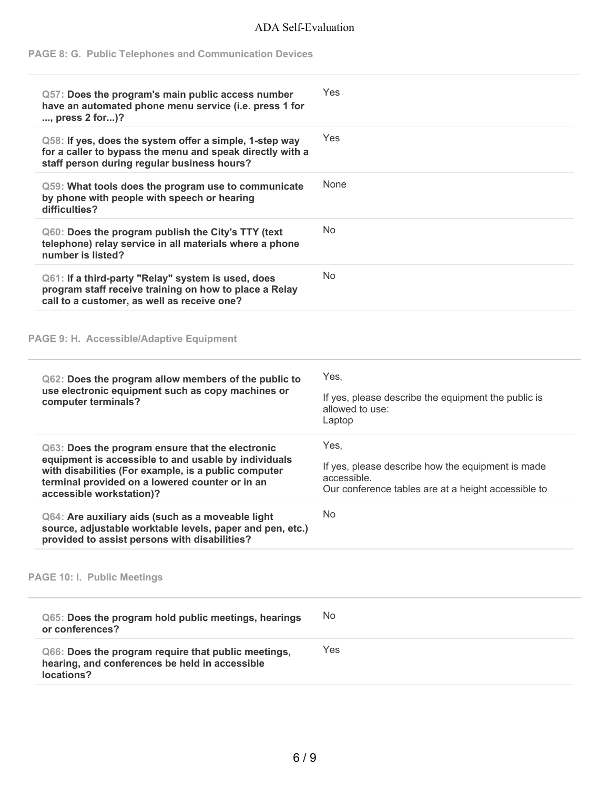### ADA Self-Evaluation

### **PAGE 8: G. Public Telephones and Communication Devices**

| Q57: Does the program's main public access number<br>have an automated phone menu service (i.e. press 1 for<br>, press 2 for)?                                                                                                                  | Yes                                                                                                                             |
|-------------------------------------------------------------------------------------------------------------------------------------------------------------------------------------------------------------------------------------------------|---------------------------------------------------------------------------------------------------------------------------------|
| Q58: If yes, does the system offer a simple, 1-step way<br>for a caller to bypass the menu and speak directly with a<br>staff person during regular business hours?                                                                             | Yes                                                                                                                             |
| Q59: What tools does the program use to communicate<br>by phone with people with speech or hearing<br>difficulties?                                                                                                                             | None                                                                                                                            |
| Q60: Does the program publish the City's TTY (text<br>telephone) relay service in all materials where a phone<br>number is listed?                                                                                                              | No                                                                                                                              |
| Q61: If a third-party "Relay" system is used, does<br>program staff receive training on how to place a Relay<br>call to a customer, as well as receive one?                                                                                     | <b>No</b>                                                                                                                       |
| PAGE 9: H. Accessible/Adaptive Equipment                                                                                                                                                                                                        |                                                                                                                                 |
| Q62: Does the program allow members of the public to<br>use electronic equipment such as copy machines or<br>computer terminals?                                                                                                                | Yes,<br>If yes, please describe the equipment the public is<br>allowed to use:<br>Laptop                                        |
| Q63: Does the program ensure that the electronic<br>equipment is accessible to and usable by individuals<br>with disabilities (For example, is a public computer<br>terminal provided on a lowered counter or in an<br>accessible workstation)? | Yes,<br>If yes, please describe how the equipment is made<br>accessible.<br>Our conference tables are at a height accessible to |
| Q64: Are auxiliary aids (such as a moveable light<br>source, adjustable worktable levels, paper and pen, etc.)<br>provided to assist persons with disabilities?                                                                                 | <b>No</b>                                                                                                                       |
| <b>PAGE 10: I. Public Meetings</b>                                                                                                                                                                                                              |                                                                                                                                 |
| Q65: Does the program hold public meetings, hearings<br>or conferences?                                                                                                                                                                         | No                                                                                                                              |
| Q66: Does the program require that public meetings,<br>hearing, and conferences be held in accessible<br>locations?                                                                                                                             | Yes                                                                                                                             |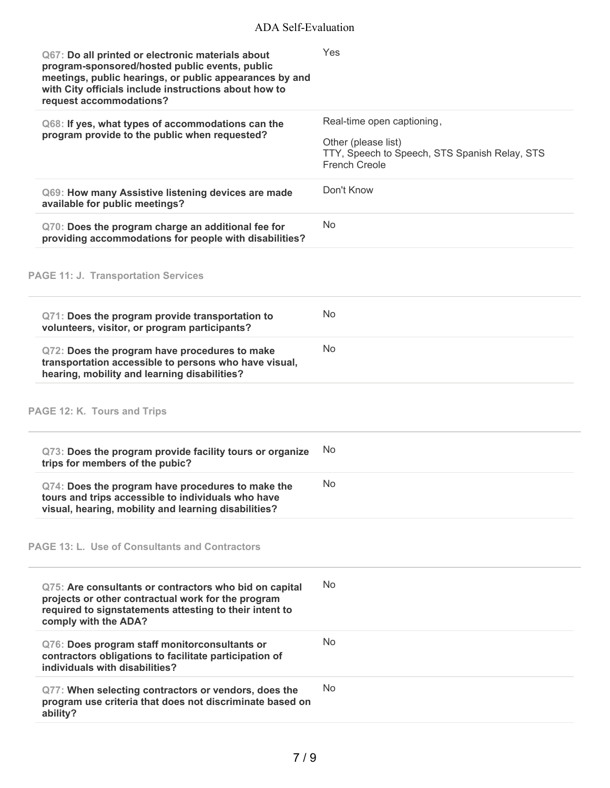| Q67: Do all printed or electronic materials about<br>program-sponsored/hosted public events, public<br>meetings, public hearings, or public appearances by and<br>with City officials include instructions about how to<br>request accommodations? | Yes                                                                                          |
|----------------------------------------------------------------------------------------------------------------------------------------------------------------------------------------------------------------------------------------------------|----------------------------------------------------------------------------------------------|
| Q68: If yes, what types of accommodations can the                                                                                                                                                                                                  | Real-time open captioning,                                                                   |
| program provide to the public when requested?                                                                                                                                                                                                      | Other (please list)<br>TTY, Speech to Speech, STS Spanish Relay, STS<br><b>French Creole</b> |
| Q69: How many Assistive listening devices are made<br>available for public meetings?                                                                                                                                                               | Don't Know                                                                                   |
| Q70: Does the program charge an additional fee for<br>providing accommodations for people with disabilities?                                                                                                                                       | <b>No</b>                                                                                    |
| <b>PAGE 11: J. Transportation Services</b>                                                                                                                                                                                                         |                                                                                              |
| Q71: Does the program provide transportation to<br>volunteers, visitor, or program participants?                                                                                                                                                   | <b>No</b>                                                                                    |
| Q72: Does the program have procedures to make<br>transportation accessible to persons who have visual,<br>hearing, mobility and learning disabilities?                                                                                             | <b>No</b>                                                                                    |
| PAGE 12: K. Tours and Trips                                                                                                                                                                                                                        |                                                                                              |
| Q73: Does the program provide facility tours or organize<br>trips for members of the pubic?                                                                                                                                                        | <b>No</b>                                                                                    |
| Q74: Does the program have procedures to make the<br>tours and trips accessible to individuals who have<br>visual, hearing, mobility and learning disabilities?                                                                                    | N <sub>o</sub>                                                                               |
| <b>PAGE 13: L. Use of Consultants and Contractors</b>                                                                                                                                                                                              |                                                                                              |
| Q75: Are consultants or contractors who bid on capital<br>projects or other contractual work for the program<br>required to signstatements attesting to their intent to<br>comply with the ADA?                                                    | No.                                                                                          |
| Q76: Does program staff monitorconsultants or<br>contractors obligations to facilitate participation of<br>individuals with disabilities?                                                                                                          | No.                                                                                          |
| Q77: When selecting contractors or vendors, does the<br>program use criteria that does not discriminate based on<br>ability?                                                                                                                       | No.                                                                                          |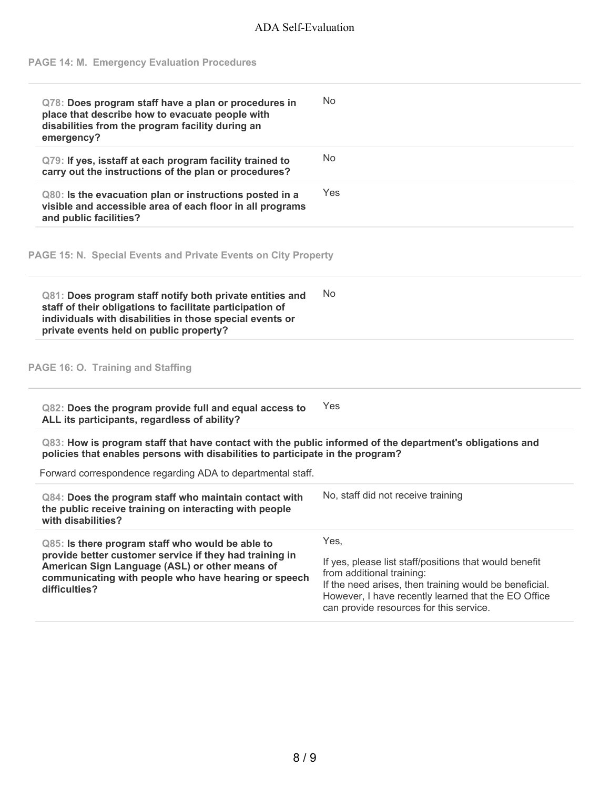# ADA Self-Evaluation

# **PAGE 14: M. Emergency Evaluation Procedures**

| Q78: Does program staff have a plan or procedures in                                                                                                                                                                         |                                    |
|------------------------------------------------------------------------------------------------------------------------------------------------------------------------------------------------------------------------------|------------------------------------|
| place that describe how to evacuate people with<br>disabilities from the program facility during an<br>emergency?                                                                                                            | No                                 |
| Q79: If yes, isstaff at each program facility trained to<br>carry out the instructions of the plan or procedures?                                                                                                            | No                                 |
| Q80: Is the evacuation plan or instructions posted in a<br>visible and accessible area of each floor in all programs<br>and public facilities?                                                                               | Yes                                |
| PAGE 15: N. Special Events and Private Events on City Property                                                                                                                                                               |                                    |
| Q81: Does program staff notify both private entities and<br>staff of their obligations to facilitate participation of<br>individuals with disabilities in those special events or<br>private events held on public property? | <b>No</b>                          |
|                                                                                                                                                                                                                              |                                    |
|                                                                                                                                                                                                                              |                                    |
| PAGE 16: O. Training and Staffing<br>Q82: Does the program provide full and equal access to<br>ALL its participants, regardless of ability?                                                                                  | Yes                                |
| Q83: How is program staff that have contact with the public informed of the department's obligations and<br>policies that enables persons with disabilities to participate in the program?                                   |                                    |
| Forward correspondence regarding ADA to departmental staff.                                                                                                                                                                  |                                    |
| Q84: Does the program staff who maintain contact with<br>the public receive training on interacting with people<br>with disabilities?                                                                                        | No, staff did not receive training |
| Q85: Is there program staff who would be able to<br>provide better customer service if they had training in                                                                                                                  | Yes,                               |